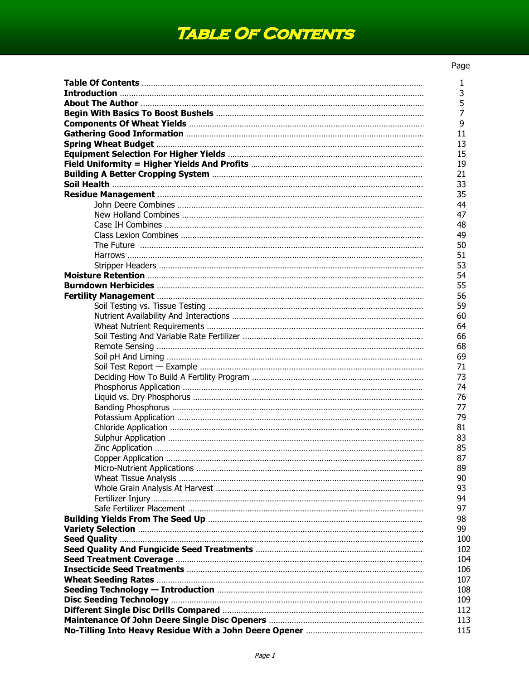## **Table Of Contents**

## Page

| 1              |
|----------------|
| 3              |
| 5              |
| $\overline{7}$ |
| 9              |
| 11             |
| 13             |
| 15             |
| 19             |
| 21             |
| 33             |
| 35             |
| 44             |
| 47             |
| 48             |
| 49             |
| 50             |
| 51             |
| 53             |
| 54             |
| 55             |
| 56             |
| 59             |
| 60             |
| 64             |
| 66             |
| 68             |
| 69             |
| 71             |
| 73             |
| 74             |
| 76             |
| 77             |
| 79             |
| 81             |
| 83             |
| 85             |
| 87             |
| 89             |
| 90             |
| 93             |
| 94             |
| 97             |
| 98             |
| 99             |
| 100            |
| 102            |
| 104            |
| 106            |
| 107            |
| 108            |
| 109            |
| 112            |
| 113            |
| 115            |
|                |